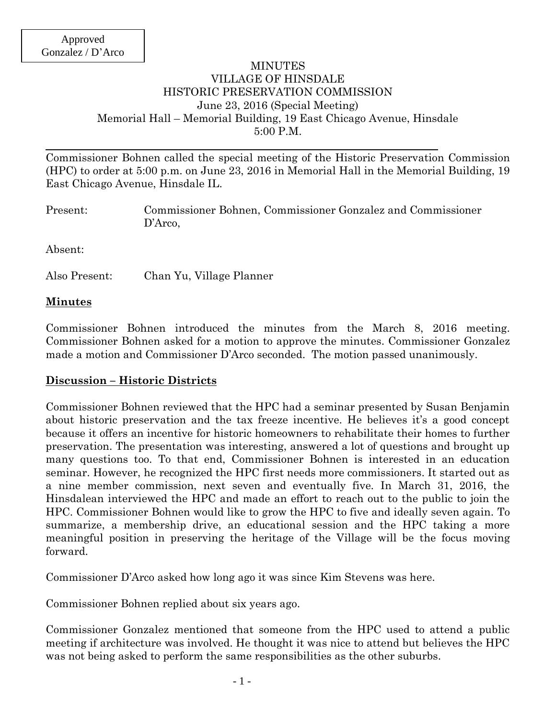### MINUTES VILLAGE OF HINSDALE HISTORIC PRESERVATION COMMISSION June 23, 2016 (Special Meeting) Memorial Hall – Memorial Building, 19 East Chicago Avenue, Hinsdale 5:00 P.M.

Commissioner Bohnen called the special meeting of the Historic Preservation Commission (HPC) to order at 5:00 p.m. on June 23, 2016 in Memorial Hall in the Memorial Building, 19 East Chicago Avenue, Hinsdale IL.

Present: Commissioner Bohnen, Commissioner Gonzalez and Commissioner D'Arco,

Absent:

Also Present: Chan Yu, Village Planner

#### **Minutes**

Commissioner Bohnen introduced the minutes from the March 8, 2016 meeting. Commissioner Bohnen asked for a motion to approve the minutes. Commissioner Gonzalez made a motion and Commissioner D'Arco seconded. The motion passed unanimously.

### **Discussion – Historic Districts**

Commissioner Bohnen reviewed that the HPC had a seminar presented by Susan Benjamin about historic preservation and the tax freeze incentive. He believes it's a good concept because it offers an incentive for historic homeowners to rehabilitate their homes to further preservation. The presentation was interesting, answered a lot of questions and brought up many questions too. To that end, Commissioner Bohnen is interested in an education seminar. However, he recognized the HPC first needs more commissioners. It started out as a nine member commission, next seven and eventually five. In March 31, 2016, the Hinsdalean interviewed the HPC and made an effort to reach out to the public to join the HPC. Commissioner Bohnen would like to grow the HPC to five and ideally seven again. To summarize, a membership drive, an educational session and the HPC taking a more meaningful position in preserving the heritage of the Village will be the focus moving forward.

Commissioner D'Arco asked how long ago it was since Kim Stevens was here.

Commissioner Bohnen replied about six years ago.

Commissioner Gonzalez mentioned that someone from the HPC used to attend a public meeting if architecture was involved. He thought it was nice to attend but believes the HPC was not being asked to perform the same responsibilities as the other suburbs.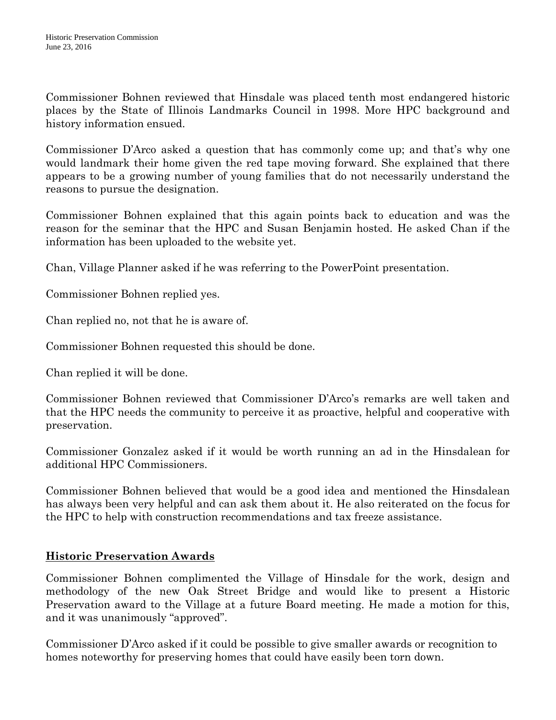Commissioner Bohnen reviewed that Hinsdale was placed tenth most endangered historic places by the State of Illinois Landmarks Council in 1998. More HPC background and history information ensued.

Commissioner D'Arco asked a question that has commonly come up; and that's why one would landmark their home given the red tape moving forward. She explained that there appears to be a growing number of young families that do not necessarily understand the reasons to pursue the designation.

Commissioner Bohnen explained that this again points back to education and was the reason for the seminar that the HPC and Susan Benjamin hosted. He asked Chan if the information has been uploaded to the website yet.

Chan, Village Planner asked if he was referring to the PowerPoint presentation.

Commissioner Bohnen replied yes.

Chan replied no, not that he is aware of.

Commissioner Bohnen requested this should be done.

Chan replied it will be done.

Commissioner Bohnen reviewed that Commissioner D'Arco's remarks are well taken and that the HPC needs the community to perceive it as proactive, helpful and cooperative with preservation.

Commissioner Gonzalez asked if it would be worth running an ad in the Hinsdalean for additional HPC Commissioners.

Commissioner Bohnen believed that would be a good idea and mentioned the Hinsdalean has always been very helpful and can ask them about it. He also reiterated on the focus for the HPC to help with construction recommendations and tax freeze assistance.

## **Historic Preservation Awards**

Commissioner Bohnen complimented the Village of Hinsdale for the work, design and methodology of the new Oak Street Bridge and would like to present a Historic Preservation award to the Village at a future Board meeting. He made a motion for this, and it was unanimously "approved".

Commissioner D'Arco asked if it could be possible to give smaller awards or recognition to homes noteworthy for preserving homes that could have easily been torn down.